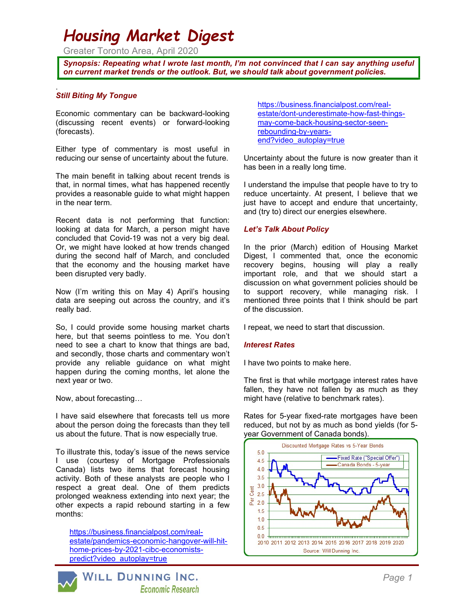# Housing Market Digest

Greater Toronto Area, April 2020

Synopsis: Repeating what I wrote last month, I'm not convinced that I can say anything useful on current market trends or the outlook. But, we should talk about government policies.

## Still Biting My Tongue

.

Economic commentary can be backward-looking (discussing recent events) or forward-looking (forecasts).

Either type of commentary is most useful in reducing our sense of uncertainty about the future.

The main benefit in talking about recent trends is that, in normal times, what has happened recently provides a reasonable guide to what might happen in the near term.

Recent data is not performing that function: looking at data for March, a person might have concluded that Covid-19 was not a very big deal. Or, we might have looked at how trends changed during the second half of March, and concluded that the economy and the housing market have been disrupted very badly.

Now (I'm writing this on May 4) April's housing data are seeping out across the country, and it's really bad.

So, I could provide some housing market charts here, but that seems pointless to me. You don't need to see a chart to know that things are bad, and secondly, those charts and commentary won't provide any reliable guidance on what might happen during the coming months, let alone the next year or two.

Now, about forecasting…

I have said elsewhere that forecasts tell us more about the person doing the forecasts than they tell us about the future. That is now especially true.

To illustrate this, today's issue of the news service I use (courtesy of Mortgage Professionals Canada) lists two items that forecast housing activity. Both of these analysts are people who I respect a great deal. One of them predicts prolonged weakness extending into next year; the other expects a rapid rebound starting in a few months:

https://business.financialpost.com/realestate/pandemics-economic-hangover-will-hithome-prices-by-2021-cibc-economistspredict?video\_autoplay=true



https://business.financialpost.com/realestate/dont-underestimate-how-fast-thingsmay-come-back-housing-sector-seenrebounding-by-yearsend?video\_autoplay=true

Uncertainty about the future is now greater than it has been in a really long time.

I understand the impulse that people have to try to reduce uncertainty. At present, I believe that we just have to accept and endure that uncertainty, and (try to) direct our energies elsewhere.

## Let's Talk About Policy

In the prior (March) edition of Housing Market Digest, I commented that, once the economic recovery begins, housing will play a really important role, and that we should start a discussion on what government policies should be to support recovery, while managing risk. I mentioned three points that I think should be part of the discussion.

I repeat, we need to start that discussion.

#### Interest Rates

I have two points to make here.

The first is that while mortgage interest rates have fallen, they have not fallen by as much as they might have (relative to benchmark rates).

Rates for 5-year fixed-rate mortgages have been reduced, but not by as much as bond yields (for 5 year Government of Canada bonds).